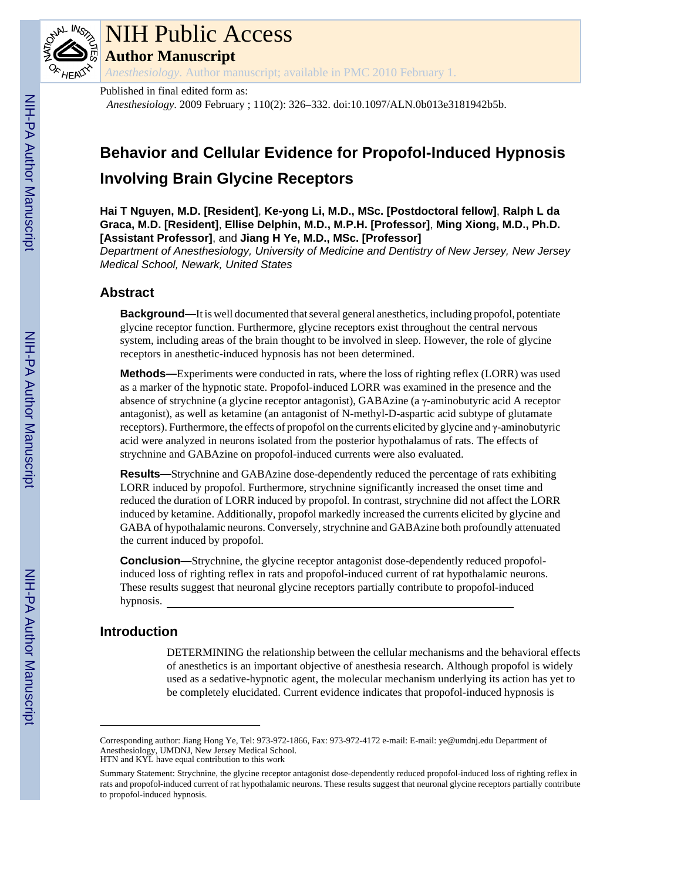

# NIH Public Access

**Author Manuscript**

*Anesthesiology*. Author manuscript; available in PMC 2010 February 1.

Published in final edited form as:

*Anesthesiology*. 2009 February ; 110(2): 326–332. doi:10.1097/ALN.0b013e3181942b5b.

## **Behavior and Cellular Evidence for Propofol-Induced Hypnosis Involving Brain Glycine Receptors**

**Hai T Nguyen, M.D. [Resident]**, **Ke-yong Li, M.D., MSc. [Postdoctoral fellow]**, **Ralph L da Graca, M.D. [Resident]**, **Ellise Delphin, M.D., M.P.H. [Professor]**, **Ming Xiong, M.D., Ph.D. [Assistant Professor]**, and **Jiang H Ye, M.D., MSc. [Professor]**

*Department of Anesthesiology, University of Medicine and Dentistry of New Jersey, New Jersey Medical School, Newark, United States*

## **Abstract**

**Background—**It is well documented that several general anesthetics, including propofol, potentiate glycine receptor function. Furthermore, glycine receptors exist throughout the central nervous system, including areas of the brain thought to be involved in sleep. However, the role of glycine receptors in anesthetic-induced hypnosis has not been determined.

**Methods—**Experiments were conducted in rats, where the loss of righting reflex (LORR) was used as a marker of the hypnotic state. Propofol-induced LORR was examined in the presence and the absence of strychnine (a glycine receptor antagonist), GABAzine (a γ-aminobutyric acid A receptor antagonist), as well as ketamine (an antagonist of N-methyl-D-aspartic acid subtype of glutamate receptors). Furthermore, the effects of propofol on the currents elicited by glycine and γ-aminobutyric acid were analyzed in neurons isolated from the posterior hypothalamus of rats. The effects of strychnine and GABAzine on propofol-induced currents were also evaluated.

**Results—**Strychnine and GABAzine dose-dependently reduced the percentage of rats exhibiting LORR induced by propofol. Furthermore, strychnine significantly increased the onset time and reduced the duration of LORR induced by propofol. In contrast, strychnine did not affect the LORR induced by ketamine. Additionally, propofol markedly increased the currents elicited by glycine and GABA of hypothalamic neurons. Conversely, strychnine and GABAzine both profoundly attenuated the current induced by propofol.

**Conclusion—**Strychnine, the glycine receptor antagonist dose-dependently reduced propofolinduced loss of righting reflex in rats and propofol-induced current of rat hypothalamic neurons. These results suggest that neuronal glycine receptors partially contribute to propofol-induced hypnosis.

## **Introduction**

DETERMINING the relationship between the cellular mechanisms and the behavioral effects of anesthetics is an important objective of anesthesia research. Although propofol is widely used as a sedative-hypnotic agent, the molecular mechanism underlying its action has yet to be completely elucidated. Current evidence indicates that propofol-induced hypnosis is

Corresponding author: Jiang Hong Ye, Tel: 973-972-1866, Fax: 973-972-4172 e-mail: E-mail: ye@umdnj.edu Department of Anesthesiology, UMDNJ, New Jersey Medical School. HTN and KYL have equal contribution to this work

Summary Statement: Strychnine, the glycine receptor antagonist dose-dependently reduced propofol-induced loss of righting reflex in rats and propofol-induced current of rat hypothalamic neurons. These results suggest that neuronal glycine receptors partially contribute to propofol-induced hypnosis.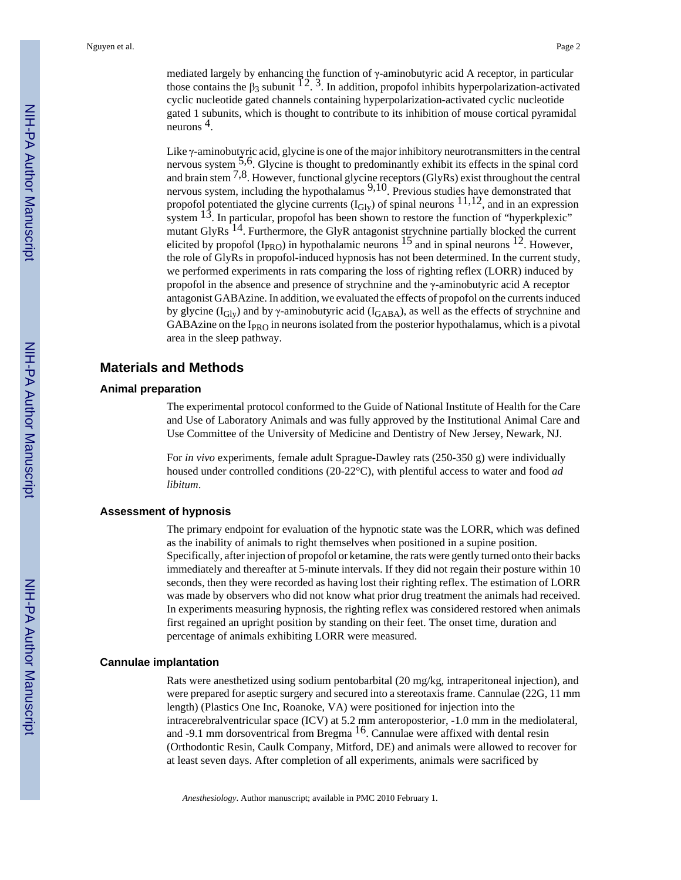mediated largely by enhancing the function of γ-aminobutyric acid A receptor, in particular those contains the  $\beta_3$  subunit  $\tilde{1}^2$ . 3. In addition, propofol inhibits hyperpolarization-activated cyclic nucleotide gated channels containing hyperpolarization-activated cyclic nucleotide gated 1 subunits, which is thought to contribute to its inhibition of mouse cortical pyramidal neurons 4.

Like γ-aminobutyric acid, glycine is one of the major inhibitory neurotransmitters in the central nervous system 5,6. Glycine is thought to predominantly exhibit its effects in the spinal cord and brain stem  $^{7,8}$ . However, functional glycine receptors (GlyRs) exist throughout the central nervous system, including the hypothalamus  $9,10$ . Previous studies have demonstrated that propofol potentiated the glycine currents  $(I_{\text{Gly}})$  of spinal neurons  $^{11,12}$ , and in an expression system  $13$ . In particular, propofol has been shown to restore the function of "hyperkplexic" mutant GlyRs  $14$ . Furthermore, the GlyR antagonist strychnine partially blocked the current elicited by propofol ( $I_{PRO}$ ) in hypothalamic neurons  $15'$  and in spinal neurons  $12$ . However, the role of GlyRs in propofol-induced hypnosis has not been determined. In the current study, we performed experiments in rats comparing the loss of righting reflex (LORR) induced by propofol in the absence and presence of strychnine and the γ-aminobutyric acid A receptor antagonist GABAzine. In addition, we evaluated the effects of propofol on the currents induced by glycine ( $I_{\text{Gly}}$ ) and by  $\gamma$ -aminobutyric acid ( $I_{\text{GABA}}$ ), as well as the effects of strychnine and GABAzine on the  $I_{PRO}$  in neurons isolated from the posterior hypothalamus, which is a pivotal area in the sleep pathway.

#### **Materials and Methods**

#### **Animal preparation**

The experimental protocol conformed to the Guide of National Institute of Health for the Care and Use of Laboratory Animals and was fully approved by the Institutional Animal Care and Use Committee of the University of Medicine and Dentistry of New Jersey, Newark, NJ.

For *in vivo* experiments, female adult Sprague-Dawley rats (250-350 g) were individually housed under controlled conditions (20-22°C), with plentiful access to water and food *ad libitum*.

#### **Assessment of hypnosis**

The primary endpoint for evaluation of the hypnotic state was the LORR, which was defined as the inability of animals to right themselves when positioned in a supine position. Specifically, after injection of propofol or ketamine, the rats were gently turned onto their backs immediately and thereafter at 5-minute intervals. If they did not regain their posture within 10 seconds, then they were recorded as having lost their righting reflex. The estimation of LORR was made by observers who did not know what prior drug treatment the animals had received. In experiments measuring hypnosis, the righting reflex was considered restored when animals first regained an upright position by standing on their feet. The onset time, duration and percentage of animals exhibiting LORR were measured.

#### **Cannulae implantation**

Rats were anesthetized using sodium pentobarbital (20 mg/kg, intraperitoneal injection), and were prepared for aseptic surgery and secured into a stereotaxis frame. Cannulae (22G, 11 mm length) (Plastics One Inc, Roanoke, VA) were positioned for injection into the intracerebralventricular space (ICV) at 5.2 mm anteroposterior, -1.0 mm in the mediolateral, and -9.1 mm dorsoventrical from Bregma 16. Cannulae were affixed with dental resin (Orthodontic Resin, Caulk Company, Mitford, DE) and animals were allowed to recover for at least seven days. After completion of all experiments, animals were sacrificed by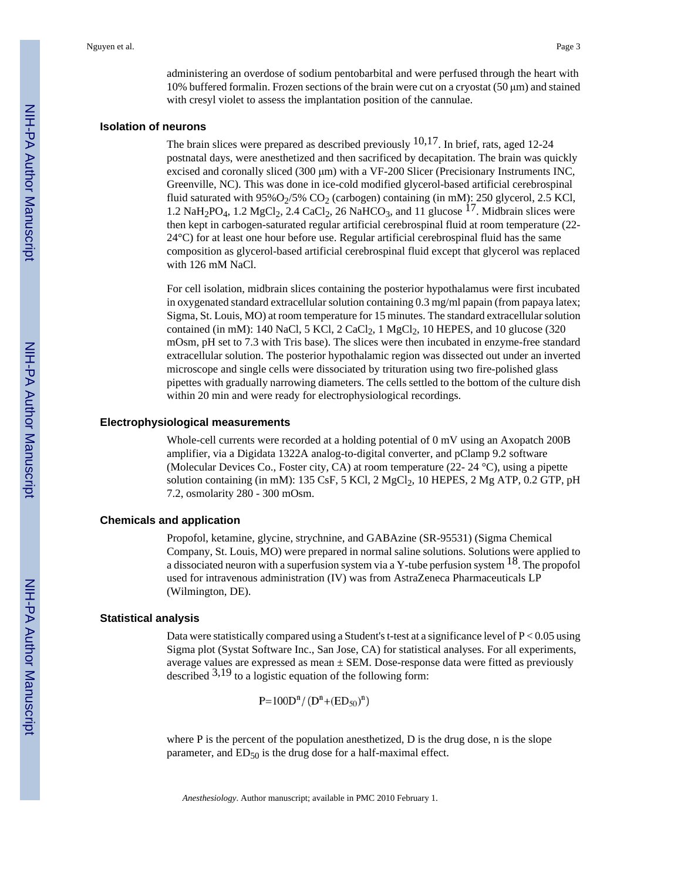administering an overdose of sodium pentobarbital and were perfused through the heart with 10% buffered formalin. Frozen sections of the brain were cut on a cryostat (50 μm) and stained with cresyl violet to assess the implantation position of the cannulae.

#### **Isolation of neurons**

The brain slices were prepared as described previously  $10,17$ . In brief, rats, aged 12-24 postnatal days, were anesthetized and then sacrificed by decapitation. The brain was quickly excised and coronally sliced (300 μm) with a VF-200 Slicer (Precisionary Instruments INC, Greenville, NC). This was done in ice-cold modified glycerol-based artificial cerebrospinal fluid saturated with  $95\%O_2/5\%$  CO<sub>2</sub> (carbogen) containing (in mM): 250 glycerol, 2.5 KCl, 1.2 NaH<sub>2</sub>PO<sub>4</sub>, 1.2 MgCl<sub>2</sub>, 2.4 CaCl<sub>2</sub>, 26 NaHCO<sub>3</sub>, and 11 glucose <sup>17</sup>. Midbrain slices were then kept in carbogen-saturated regular artificial cerebrospinal fluid at room temperature (22- 24°C) for at least one hour before use. Regular artificial cerebrospinal fluid has the same composition as glycerol-based artificial cerebrospinal fluid except that glycerol was replaced with 126 mM NaCl.

For cell isolation, midbrain slices containing the posterior hypothalamus were first incubated in oxygenated standard extracellular solution containing 0.3 mg/ml papain (from papaya latex; Sigma, St. Louis, MO) at room temperature for 15 minutes. The standard extracellular solution contained (in mM): 140 NaCl, 5 KCl, 2 CaCl<sub>2</sub>, 1 MgCl<sub>2</sub>, 10 HEPES, and 10 glucose (320) mOsm, pH set to 7.3 with Tris base). The slices were then incubated in enzyme-free standard extracellular solution. The posterior hypothalamic region was dissected out under an inverted microscope and single cells were dissociated by trituration using two fire-polished glass pipettes with gradually narrowing diameters. The cells settled to the bottom of the culture dish within 20 min and were ready for electrophysiological recordings.

#### **Electrophysiological measurements**

Whole-cell currents were recorded at a holding potential of 0 mV using an Axopatch 200B amplifier, via a Digidata 1322A analog-to-digital converter, and pClamp 9.2 software (Molecular Devices Co., Foster city, CA) at room temperature (22- 24 °C), using a pipette solution containing (in mM):  $135 \text{ CsF}$ ,  $5 \text{ KCl}$ ,  $2 \text{ MgCl}_2$ ,  $10 \text{ HEPES}$ ,  $2 \text{ Mg ATP}$ ,  $0.2 \text{ GTP}$ ,  $p\text{H}$ 7.2, osmolarity 280 - 300 mOsm.

#### **Chemicals and application**

Propofol, ketamine, glycine, strychnine, and GABAzine (SR-95531) (Sigma Chemical Company, St. Louis, MO) were prepared in normal saline solutions. Solutions were applied to a dissociated neuron with a superfusion system via a Y-tube perfusion system  $^{18}$ . The propofol used for intravenous administration (IV) was from AstraZeneca Pharmaceuticals LP (Wilmington, DE).

#### **Statistical analysis**

Data were statistically compared using a Student's t-test at a significance level of  $P < 0.05$  using Sigma plot (Systat Software Inc., San Jose, CA) for statistical analyses. For all experiments, average values are expressed as mean  $\pm$  SEM. Dose-response data were fitted as previously described  $3,19$  to a logistic equation of the following form:

 $P=100D^{n}/(D^{n}+(ED_{50})^{n})$ 

where P is the percent of the population anesthetized, D is the drug dose, n is the slope parameter, and  $ED_{50}$  is the drug dose for a half-maximal effect.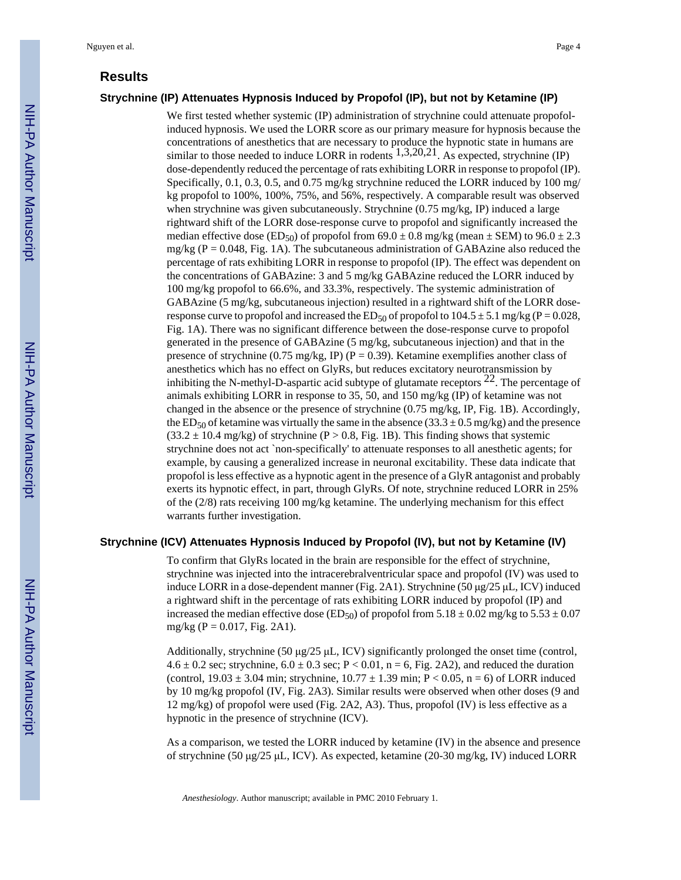#### **Results**

#### **Strychnine (IP) Attenuates Hypnosis Induced by Propofol (IP), but not by Ketamine (IP)**

We first tested whether systemic (IP) administration of strychnine could attenuate propofolinduced hypnosis. We used the LORR score as our primary measure for hypnosis because the concentrations of anesthetics that are necessary to produce the hypnotic state in humans are similar to those needed to induce LORR in rodents  $1,3,20,21$ . As expected, strychnine (IP) dose-dependently reduced the percentage of rats exhibiting LORR in response to propofol (IP). Specifically, 0.1, 0.3, 0.5, and 0.75 mg/kg strychnine reduced the LORR induced by 100 mg/ kg propofol to 100%, 100%, 75%, and 56%, respectively. A comparable result was observed when strychnine was given subcutaneously. Strychnine (0.75 mg/kg, IP) induced a large rightward shift of the LORR dose-response curve to propofol and significantly increased the median effective dose (ED<sub>50</sub>) of propofol from  $69.0 \pm 0.8$  mg/kg (mean  $\pm$  SEM) to  $96.0 \pm 2.3$  $mg/kg (P = 0.048$ , Fig. 1A). The subcutaneous administration of GABAzine also reduced the percentage of rats exhibiting LORR in response to propofol (IP). The effect was dependent on the concentrations of GABAzine: 3 and 5 mg/kg GABAzine reduced the LORR induced by 100 mg/kg propofol to 66.6%, and 33.3%, respectively. The systemic administration of GABAzine (5 mg/kg, subcutaneous injection) resulted in a rightward shift of the LORR doseresponse curve to propofol and increased the ED<sub>50</sub> of propofol to  $104.5 \pm 5.1$  mg/kg (P = 0.028, Fig. 1A). There was no significant difference between the dose-response curve to propofol generated in the presence of GABAzine (5 mg/kg, subcutaneous injection) and that in the presence of strychnine (0.75 mg/kg, IP) (P = 0.39). Ketamine exemplifies another class of anesthetics which has no effect on GlyRs, but reduces excitatory neurotransmission by inhibiting the N-methyl-D-aspartic acid subtype of glutamate receptors  $^{22}$ . The percentage of animals exhibiting LORR in response to 35, 50, and 150 mg/kg (IP) of ketamine was not changed in the absence or the presence of strychnine (0.75 mg/kg, IP, Fig. 1B). Accordingly, the ED<sub>50</sub> of ketamine was virtually the same in the absence  $(33.3 \pm 0.5 \text{ mg/kg})$  and the presence  $(33.2 \pm 10.4 \text{ mg/kg})$  of strychnine (P > 0.8, Fig. 1B). This finding shows that systemic strychnine does not act `non-specifically' to attenuate responses to all anesthetic agents; for example, by causing a generalized increase in neuronal excitability. These data indicate that propofol is less effective as a hypnotic agent in the presence of a GlyR antagonist and probably exerts its hypnotic effect, in part, through GlyRs. Of note, strychnine reduced LORR in 25% of the (2/8) rats receiving 100 mg/kg ketamine. The underlying mechanism for this effect warrants further investigation.

#### **Strychnine (ICV) Attenuates Hypnosis Induced by Propofol (IV), but not by Ketamine (IV)**

To confirm that GlyRs located in the brain are responsible for the effect of strychnine, strychnine was injected into the intracerebralventricular space and propofol (IV) was used to induce LORR in a dose-dependent manner (Fig. 2A1). Strychnine (50 μg/25 μL, ICV) induced a rightward shift in the percentage of rats exhibiting LORR induced by propofol (IP) and increased the median effective dose (ED<sub>50</sub>) of propofol from 5.18  $\pm$  0.02 mg/kg to 5.53  $\pm$  0.07 mg/kg ( $P = 0.017$ , Fig. 2A1).

Additionally, strychnine (50  $\mu$ g/25  $\mu$ L, ICV) significantly prolonged the onset time (control, 4.6  $\pm$  0.2 sec; strychnine, 6.0  $\pm$  0.3 sec; P < 0.01, n = 6, Fig. 2A2), and reduced the duration (control,  $19.03 \pm 3.04$  min; strychnine,  $10.77 \pm 1.39$  min; P < 0.05, n = 6) of LORR induced by 10 mg/kg propofol (IV, Fig. 2A3). Similar results were observed when other doses (9 and 12 mg/kg) of propofol were used (Fig. 2A2, A3). Thus, propofol (IV) is less effective as a hypnotic in the presence of strychnine (ICV).

As a comparison, we tested the LORR induced by ketamine (IV) in the absence and presence of strychnine (50 μg/25 μL, ICV). As expected, ketamine (20-30 mg/kg, IV) induced LORR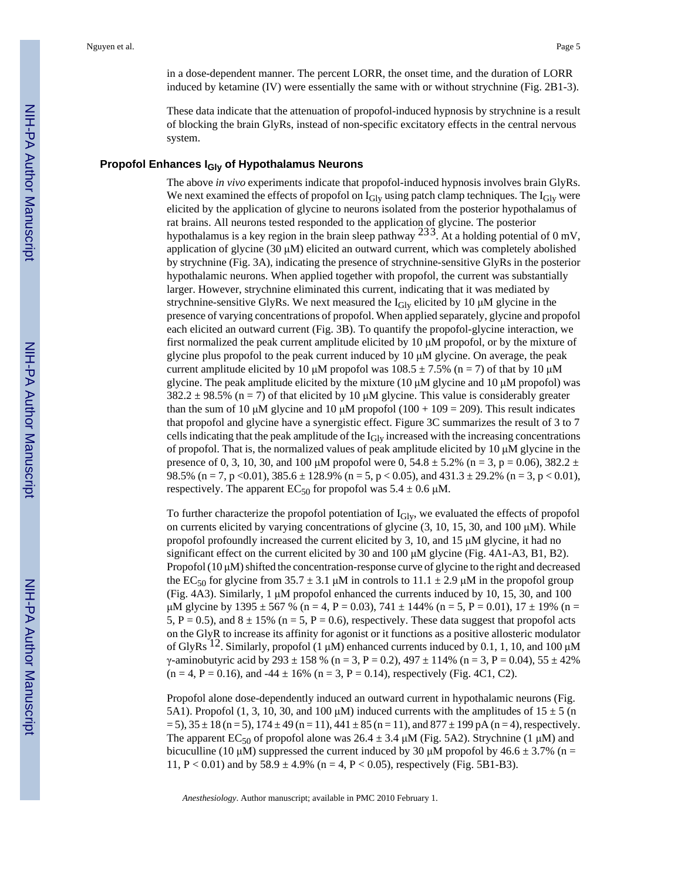in a dose-dependent manner. The percent LORR, the onset time, and the duration of LORR induced by ketamine (IV) were essentially the same with or without strychnine (Fig. 2B1-3).

These data indicate that the attenuation of propofol-induced hypnosis by strychnine is a result of blocking the brain GlyRs, instead of non-specific excitatory effects in the central nervous system.

#### **Propofol Enhances IGly of Hypothalamus Neurons**

The above *in vivo* experiments indicate that propofol-induced hypnosis involves brain GlyRs. We next examined the effects of propofol on  $I_{\text{Glv}}$  using patch clamp techniques. The  $I_{\text{Glv}}$  were elicited by the application of glycine to neurons isolated from the posterior hypothalamus of rat brains. All neurons tested responded to the application of glycine. The posterior hypothalamus is a key region in the brain sleep pathway  $233$ . At a holding potential of 0 mV, application of glycine (30 μM) elicited an outward current, which was completely abolished by strychnine (Fig. 3A), indicating the presence of strychnine-sensitive GlyRs in the posterior hypothalamic neurons. When applied together with propofol, the current was substantially larger. However, strychnine eliminated this current, indicating that it was mediated by strychnine-sensitive GlyRs. We next measured the  $I<sub>Gly</sub>$  elicited by 10  $\mu$ M glycine in the presence of varying concentrations of propofol. When applied separately, glycine and propofol each elicited an outward current (Fig. 3B). To quantify the propofol-glycine interaction, we first normalized the peak current amplitude elicited by 10  $\mu$ M propofol, or by the mixture of glycine plus propofol to the peak current induced by  $10 \mu M$  glycine. On average, the peak current amplitude elicited by 10 μM propofol was  $108.5 \pm 7.5\%$  (n = 7) of that by 10 μM glycine. The peak amplitude elicited by the mixture (10  $\mu$ M glycine and 10  $\mu$ M propofol) was  $382.2 \pm 98.5\%$  (n = 7) of that elicited by 10 µM glycine. This value is considerably greater than the sum of 10 μM glycine and 10 μM propofol (100 + 109 = 209). This result indicates that propofol and glycine have a synergistic effect. Figure 3C summarizes the result of 3 to 7 cells indicating that the peak amplitude of the  $I<sub>Gly</sub>$  increased with the increasing concentrations of propofol. That is, the normalized values of peak amplitude elicited by 10  $\mu$ M glycine in the presence of 0, 3, 10, 30, and 100  $\mu$ M propofol were 0, 54.8  $\pm$  5.2% (n = 3, p = 0.06), 382.2  $\pm$ 98.5% (n = 7, p < 0.01),  $385.6 \pm 128.9$ % (n = 5, p < 0.05), and  $431.3 \pm 29.2$ % (n = 3, p < 0.01), respectively. The apparent  $EC_{50}$  for propofol was  $5.4 \pm 0.6 \mu M$ .

To further characterize the propofol potentiation of  $I_{\text{Giv}}$ , we evaluated the effects of propofol on currents elicited by varying concentrations of glycine (3, 10, 15, 30, and 100 μM). While propofol profoundly increased the current elicited by 3, 10, and 15  $\mu$ M glycine, it had no significant effect on the current elicited by 30 and 100 μM glycine (Fig. 4A1-A3, B1, B2). Propofol  $(10 \mu M)$  shifted the concentration-response curve of glycine to the right and decreased the EC<sub>50</sub> for glycine from 35.7  $\pm$  3.1  $\mu$ M in controls to 11.1  $\pm$  2.9  $\mu$ M in the propofol group (Fig. 4A3). Similarly, 1 μM propofol enhanced the currents induced by 10, 15, 30, and 100 μM glycine by 1395 ± 567 % (n = 4, P = 0.03), 741 ± 144% (n = 5, P = 0.01), 17 ± 19% (n = 5, P = 0.5), and 8  $\pm$  15% (n = 5, P = 0.6), respectively. These data suggest that propofol acts on the GlyR to increase its affinity for agonist or it functions as a positive allosteric modulator of GlyRs <sup>12</sup>. Similarly, propofol (1 μM) enhanced currents induced by 0.1, 1, 10, and 100 μM  $γ$ -aminobutyric acid by 293 ± 158 % (n = 3, P = 0.2), 497 ± 114% (n = 3, P = 0.04), 55 ± 42%  $(n = 4, P = 0.16)$ , and  $-44 \pm 16\%$   $(n = 3, P = 0.14)$ , respectively (Fig. 4C1, C2).

Propofol alone dose-dependently induced an outward current in hypothalamic neurons (Fig. 5A1). Propofol (1, 3, 10, 30, and 100  $\mu$ M) induced currents with the amplitudes of 15  $\pm$  5 (n  $= 5$ ),  $35 \pm 18$  (n = 5),  $174 \pm 49$  (n = 11),  $441 \pm 85$  (n = 11), and  $877 \pm 199$  pA (n = 4), respectively. The apparent EC<sub>50</sub> of propofol alone was 26.4  $\pm$  3.4  $\mu$ M (Fig. 5A2). Strychnine (1  $\mu$ M) and bicuculline (10 μM) suppressed the current induced by 30 μM propofol by  $46.6 \pm 3.7\%$  (n = 11, P < 0.01) and by  $58.9 \pm 4.9\%$  (n = 4, P < 0.05), respectively (Fig. 5B1-B3).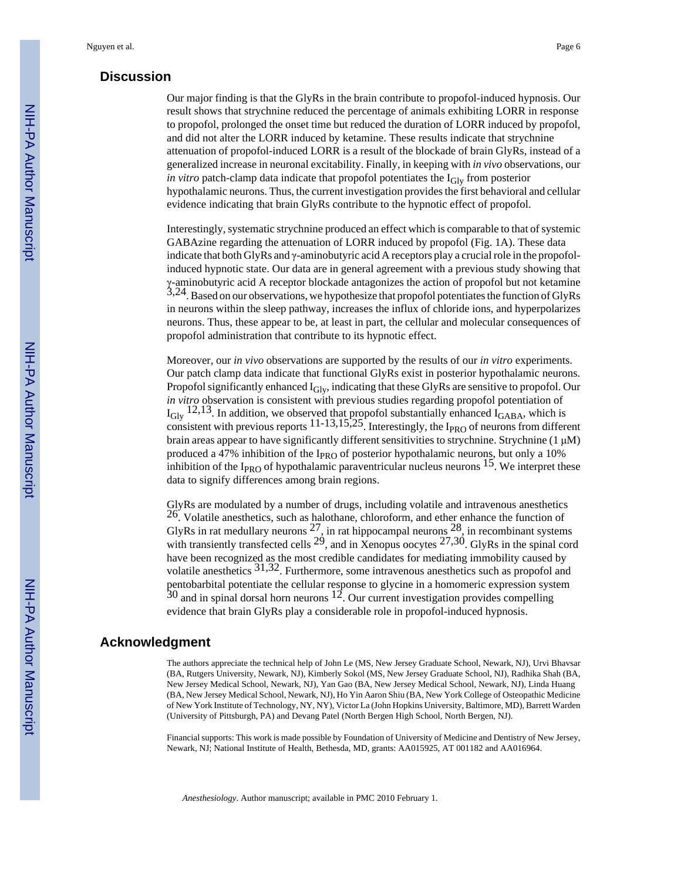#### **Discussion**

Our major finding is that the GlyRs in the brain contribute to propofol-induced hypnosis. Our result shows that strychnine reduced the percentage of animals exhibiting LORR in response to propofol, prolonged the onset time but reduced the duration of LORR induced by propofol, and did not alter the LORR induced by ketamine. These results indicate that strychnine attenuation of propofol-induced LORR is a result of the blockade of brain GlyRs, instead of a generalized increase in neuronal excitability. Finally, in keeping with *in vivo* observations, our *in vitro* patch-clamp data indicate that propofol potentiates the I<sub>Gly</sub> from posterior hypothalamic neurons. Thus, the current investigation provides the first behavioral and cellular evidence indicating that brain GlyRs contribute to the hypnotic effect of propofol.

Interestingly, systematic strychnine produced an effect which is comparable to that of systemic GABAzine regarding the attenuation of LORR induced by propofol (Fig. 1A). These data indicate that both GlyRs and γ-aminobutyric acid A receptors play a crucial role in the propofolinduced hypnotic state. Our data are in general agreement with a previous study showing that γ-aminobutyric acid A receptor blockade antagonizes the action of propofol but not ketamine 3,24. Based on our observations, we hypothesize that propofol potentiates the function of GlyRs in neurons within the sleep pathway, increases the influx of chloride ions, and hyperpolarizes neurons. Thus, these appear to be, at least in part, the cellular and molecular consequences of propofol administration that contribute to its hypnotic effect.

Moreover, our *in vivo* observations are supported by the results of our *in vitro* experiments. Our patch clamp data indicate that functional GlyRs exist in posterior hypothalamic neurons. Propofol significantly enhanced  $I_{\text{Giv}}$ , indicating that these GlyRs are sensitive to propofol. Our *in vitro* observation is consistent with previous studies regarding propofol potentiation of  $I_{\text{Gly}}$  12,13. In addition, we observed that propofol substantially enhanced  $I_{\text{GABA}}$ , which is consistent with previous reports  $11-13,15,25$ . Interestingly, the I<sub>PRO</sub> of neurons from different brain areas appear to have significantly different sensitivities to strychnine. Strychnine (1 μM) produced a 47% inhibition of the  $I_{PRO}$  of posterior hypothalamic neurons, but only a 10% inhibition of the I<sub>PRO</sub> of hypothalamic paraventricular nucleus neurons  $15$ . We interpret these data to signify differences among brain regions.

GlyRs are modulated by a number of drugs, including volatile and intravenous anesthetics  $26$ . Volatile anesthetics, such as halothane, chloroform, and ether enhance the function of GlyRs in rat medullary neurons  $^{27}$ , in rat hippocampal neurons  $^{28}$ , in recombinant systems with transiently transfected cells  $2^9$ , and in Xenopus oocytes  $27,30$ . GlyRs in the spinal cord have been recognized as the most credible candidates for mediating immobility caused by volatile anesthetics 31,32. Furthermore, some intravenous anesthetics such as propofol and pentobarbital potentiate the cellular response to glycine in a homomeric expression system  $30$  and in spinal dorsal horn neurons  $12$ . Our current investigation provides compelling evidence that brain GlyRs play a considerable role in propofol-induced hypnosis.

## **Acknowledgment**

The authors appreciate the technical help of John Le (MS, New Jersey Graduate School, Newark, NJ), Urvi Bhavsar (BA, Rutgers University, Newark, NJ), Kimberly Sokol (MS, New Jersey Graduate School, NJ), Radhika Shah (BA, New Jersey Medical School, Newark, NJ), Yan Gao (BA, New Jersey Medical School, Newark, NJ), Linda Huang (BA, New Jersey Medical School, Newark, NJ), Ho Yin Aaron Shiu (BA, New York College of Osteopathic Medicine of New York Institute of Technology, NY, NY), Victor La (John Hopkins University, Baltimore, MD), Barrett Warden (University of Pittsburgh, PA) and Devang Patel (North Bergen High School, North Bergen, NJ).

Financial supports: This work is made possible by Foundation of University of Medicine and Dentistry of New Jersey, Newark, NJ; National Institute of Health, Bethesda, MD, grants: AA015925, AT 001182 and AA016964.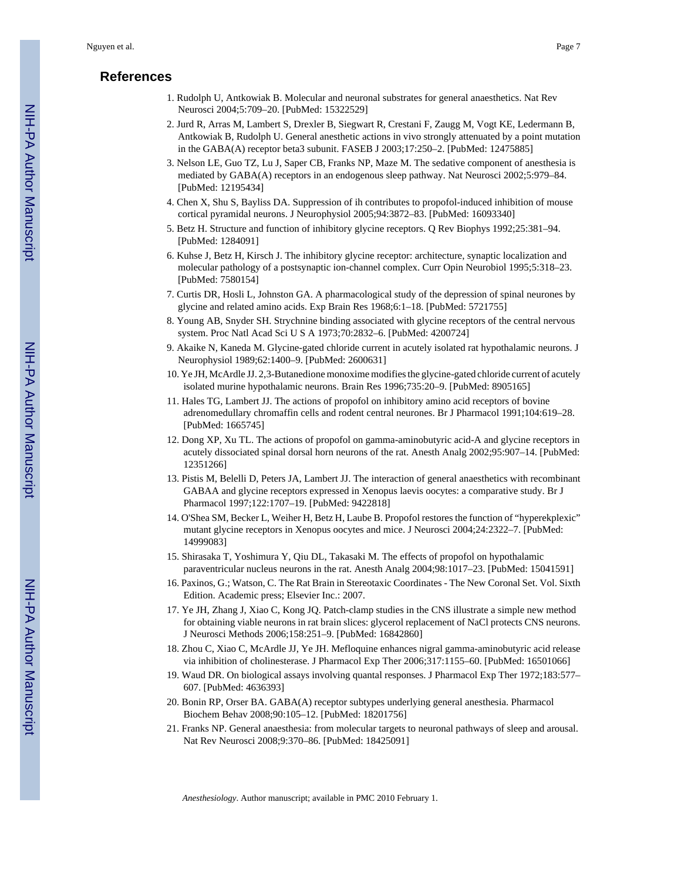### **References**

- 1. Rudolph U, Antkowiak B. Molecular and neuronal substrates for general anaesthetics. Nat Rev Neurosci 2004;5:709–20. [PubMed: 15322529]
- 2. Jurd R, Arras M, Lambert S, Drexler B, Siegwart R, Crestani F, Zaugg M, Vogt KE, Ledermann B, Antkowiak B, Rudolph U. General anesthetic actions in vivo strongly attenuated by a point mutation in the GABA(A) receptor beta3 subunit. FASEB J 2003;17:250–2. [PubMed: 12475885]
- 3. Nelson LE, Guo TZ, Lu J, Saper CB, Franks NP, Maze M. The sedative component of anesthesia is mediated by GABA(A) receptors in an endogenous sleep pathway. Nat Neurosci 2002;5:979–84. [PubMed: 12195434]
- 4. Chen X, Shu S, Bayliss DA. Suppression of ih contributes to propofol-induced inhibition of mouse cortical pyramidal neurons. J Neurophysiol 2005;94:3872–83. [PubMed: 16093340]
- 5. Betz H. Structure and function of inhibitory glycine receptors. Q Rev Biophys 1992;25:381–94. [PubMed: 1284091]
- 6. Kuhse J, Betz H, Kirsch J. The inhibitory glycine receptor: architecture, synaptic localization and molecular pathology of a postsynaptic ion-channel complex. Curr Opin Neurobiol 1995;5:318–23. [PubMed: 7580154]
- 7. Curtis DR, Hosli L, Johnston GA. A pharmacological study of the depression of spinal neurones by glycine and related amino acids. Exp Brain Res 1968;6:1–18. [PubMed: 5721755]
- 8. Young AB, Snyder SH. Strychnine binding associated with glycine receptors of the central nervous system. Proc Natl Acad Sci U S A 1973;70:2832–6. [PubMed: 4200724]
- 9. Akaike N, Kaneda M. Glycine-gated chloride current in acutely isolated rat hypothalamic neurons. J Neurophysiol 1989;62:1400–9. [PubMed: 2600631]
- 10. Ye JH, McArdle JJ. 2,3-Butanedione monoxime modifies the glycine-gated chloride current of acutely isolated murine hypothalamic neurons. Brain Res 1996;735:20–9. [PubMed: 8905165]
- 11. Hales TG, Lambert JJ. The actions of propofol on inhibitory amino acid receptors of bovine adrenomedullary chromaffin cells and rodent central neurones. Br J Pharmacol 1991;104:619–28. [PubMed: 1665745]
- 12. Dong XP, Xu TL. The actions of propofol on gamma-aminobutyric acid-A and glycine receptors in acutely dissociated spinal dorsal horn neurons of the rat. Anesth Analg 2002;95:907–14. [PubMed: 12351266]
- 13. Pistis M, Belelli D, Peters JA, Lambert JJ. The interaction of general anaesthetics with recombinant GABAA and glycine receptors expressed in Xenopus laevis oocytes: a comparative study. Br J Pharmacol 1997;122:1707–19. [PubMed: 9422818]
- 14. O'Shea SM, Becker L, Weiher H, Betz H, Laube B. Propofol restores the function of "hyperekplexic" mutant glycine receptors in Xenopus oocytes and mice. J Neurosci 2004;24:2322–7. [PubMed: 14999083]
- 15. Shirasaka T, Yoshimura Y, Qiu DL, Takasaki M. The effects of propofol on hypothalamic paraventricular nucleus neurons in the rat. Anesth Analg 2004;98:1017–23. [PubMed: 15041591]
- 16. Paxinos, G.; Watson, C. The Rat Brain in Stereotaxic Coordinates The New Coronal Set. Vol. Sixth Edition. Academic press; Elsevier Inc.: 2007.
- 17. Ye JH, Zhang J, Xiao C, Kong JQ. Patch-clamp studies in the CNS illustrate a simple new method for obtaining viable neurons in rat brain slices: glycerol replacement of NaCl protects CNS neurons. J Neurosci Methods 2006;158:251–9. [PubMed: 16842860]
- 18. Zhou C, Xiao C, McArdle JJ, Ye JH. Mefloquine enhances nigral gamma-aminobutyric acid release via inhibition of cholinesterase. J Pharmacol Exp Ther 2006;317:1155–60. [PubMed: 16501066]
- 19. Waud DR. On biological assays involving quantal responses. J Pharmacol Exp Ther 1972;183:577– 607. [PubMed: 4636393]
- 20. Bonin RP, Orser BA. GABA(A) receptor subtypes underlying general anesthesia. Pharmacol Biochem Behav 2008;90:105–12. [PubMed: 18201756]
- 21. Franks NP. General anaesthesia: from molecular targets to neuronal pathways of sleep and arousal. Nat Rev Neurosci 2008;9:370–86. [PubMed: 18425091]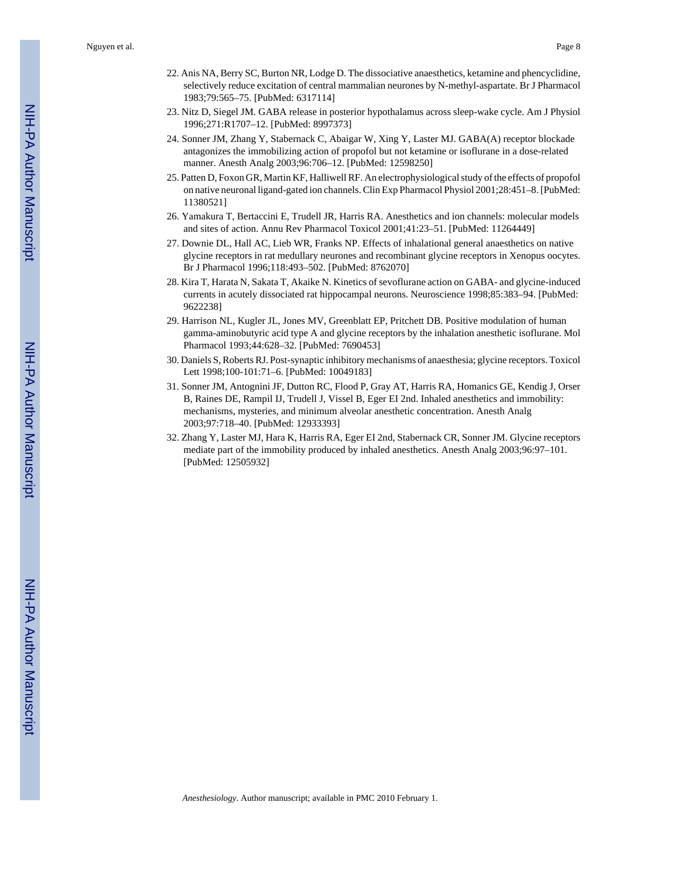- 22. Anis NA, Berry SC, Burton NR, Lodge D. The dissociative anaesthetics, ketamine and phencyclidine, selectively reduce excitation of central mammalian neurones by N-methyl-aspartate. Br J Pharmacol 1983;79:565–75. [PubMed: 6317114]
- 23. Nitz D, Siegel JM. GABA release in posterior hypothalamus across sleep-wake cycle. Am J Physiol 1996;271:R1707–12. [PubMed: 8997373]
- 24. Sonner JM, Zhang Y, Stabernack C, Abaigar W, Xing Y, Laster MJ. GABA(A) receptor blockade antagonizes the immobilizing action of propofol but not ketamine or isoflurane in a dose-related manner. Anesth Analg 2003;96:706–12. [PubMed: 12598250]
- 25. Patten D, Foxon GR, Martin KF, Halliwell RF. An electrophysiological study of the effects of propofol on native neuronal ligand-gated ion channels. Clin Exp Pharmacol Physiol 2001;28:451–8. [PubMed: 11380521]
- 26. Yamakura T, Bertaccini E, Trudell JR, Harris RA. Anesthetics and ion channels: molecular models and sites of action. Annu Rev Pharmacol Toxicol 2001;41:23–51. [PubMed: 11264449]
- 27. Downie DL, Hall AC, Lieb WR, Franks NP. Effects of inhalational general anaesthetics on native glycine receptors in rat medullary neurones and recombinant glycine receptors in Xenopus oocytes. Br J Pharmacol 1996;118:493–502. [PubMed: 8762070]
- 28. Kira T, Harata N, Sakata T, Akaike N. Kinetics of sevoflurane action on GABA- and glycine-induced currents in acutely dissociated rat hippocampal neurons. Neuroscience 1998;85:383–94. [PubMed: 9622238]
- 29. Harrison NL, Kugler JL, Jones MV, Greenblatt EP, Pritchett DB. Positive modulation of human gamma-aminobutyric acid type A and glycine receptors by the inhalation anesthetic isoflurane. Mol Pharmacol 1993;44:628–32. [PubMed: 7690453]
- 30. Daniels S, Roberts RJ. Post-synaptic inhibitory mechanisms of anaesthesia; glycine receptors. Toxicol Lett 1998;100-101:71–6. [PubMed: 10049183]
- 31. Sonner JM, Antognini JF, Dutton RC, Flood P, Gray AT, Harris RA, Homanics GE, Kendig J, Orser B, Raines DE, Rampil IJ, Trudell J, Vissel B, Eger EI 2nd. Inhaled anesthetics and immobility: mechanisms, mysteries, and minimum alveolar anesthetic concentration. Anesth Analg 2003;97:718–40. [PubMed: 12933393]
- 32. Zhang Y, Laster MJ, Hara K, Harris RA, Eger EI 2nd, Stabernack CR, Sonner JM. Glycine receptors mediate part of the immobility produced by inhaled anesthetics. Anesth Analg 2003;96:97–101. [PubMed: 12505932]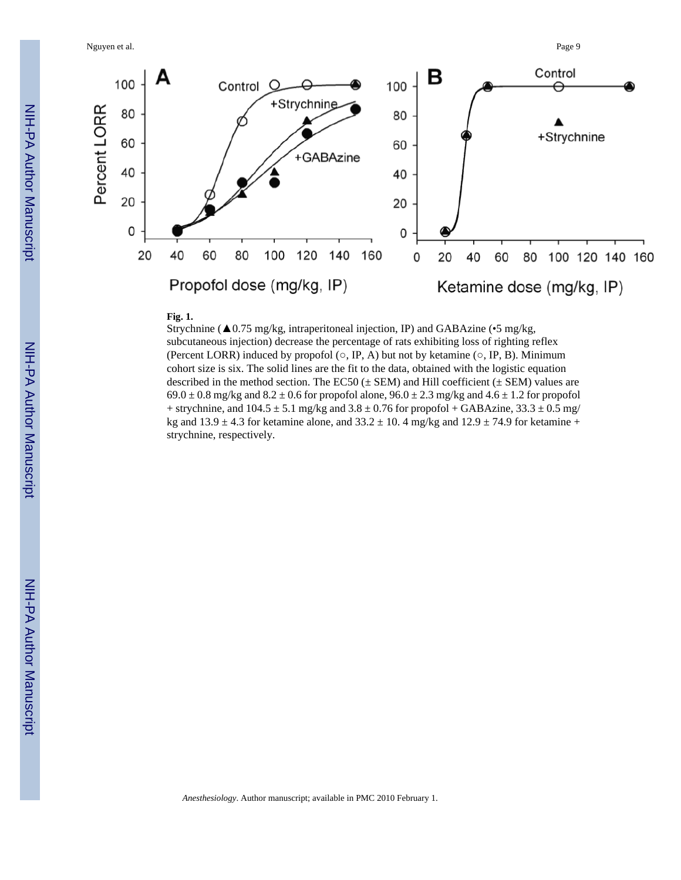Nguyen et al. Page 9





#### **Fig. 1.**

Strychnine (▲0.75 mg/kg, intraperitoneal injection, IP) and GABAzine (•5 mg/kg, subcutaneous injection) decrease the percentage of rats exhibiting loss of righting reflex (Percent LORR) induced by propofol  $(\circ, IP, A)$  but not by ketamine  $(\circ, IP, B)$ . Minimum cohort size is six. The solid lines are the fit to the data, obtained with the logistic equation described in the method section. The EC50  $(\pm$  SEM) and Hill coefficient  $(\pm$  SEM) values are  $69.0 \pm 0.8$  mg/kg and  $8.2 \pm 0.6$  for propofol alone,  $96.0 \pm 2.3$  mg/kg and  $4.6 \pm 1.2$  for propofol + strychnine, and  $104.5 \pm 5.1$  mg/kg and  $3.8 \pm 0.76$  for propofol + GABAzine,  $33.3 \pm 0.5$  mg/ kg and  $13.9 \pm 4.3$  for ketamine alone, and  $33.2 \pm 10.4$  mg/kg and  $12.9 \pm 74.9$  for ketamine + strychnine, respectively.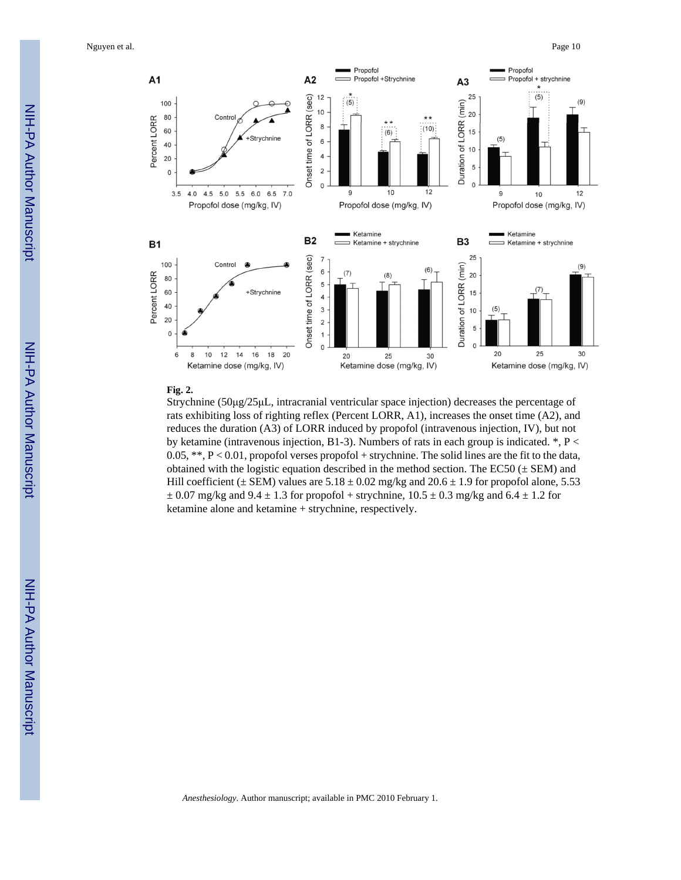Nguyen et al. Page 10



#### **Fig. 2.**

Strychnine (50μg/25μL, intracranial ventricular space injection) decreases the percentage of rats exhibiting loss of righting reflex (Percent LORR, A1), increases the onset time (A2), and reduces the duration (A3) of LORR induced by propofol (intravenous injection, IV), but not by ketamine (intravenous injection, B1-3). Numbers of rats in each group is indicated.  $^*$ , P < 0.05, \*\*,  $P < 0.01$ , propofol verses propofol + strychnine. The solid lines are the fit to the data, obtained with the logistic equation described in the method section. The EC50  $(\pm$  SEM) and Hill coefficient ( $\pm$  SEM) values are 5.18  $\pm$  0.02 mg/kg and 20.6  $\pm$  1.9 for propofol alone, 5.53  $\pm$  0.07 mg/kg and 9.4  $\pm$  1.3 for propofol + strychnine, 10.5  $\pm$  0.3 mg/kg and 6.4  $\pm$  1.2 for ketamine alone and ketamine + strychnine, respectively.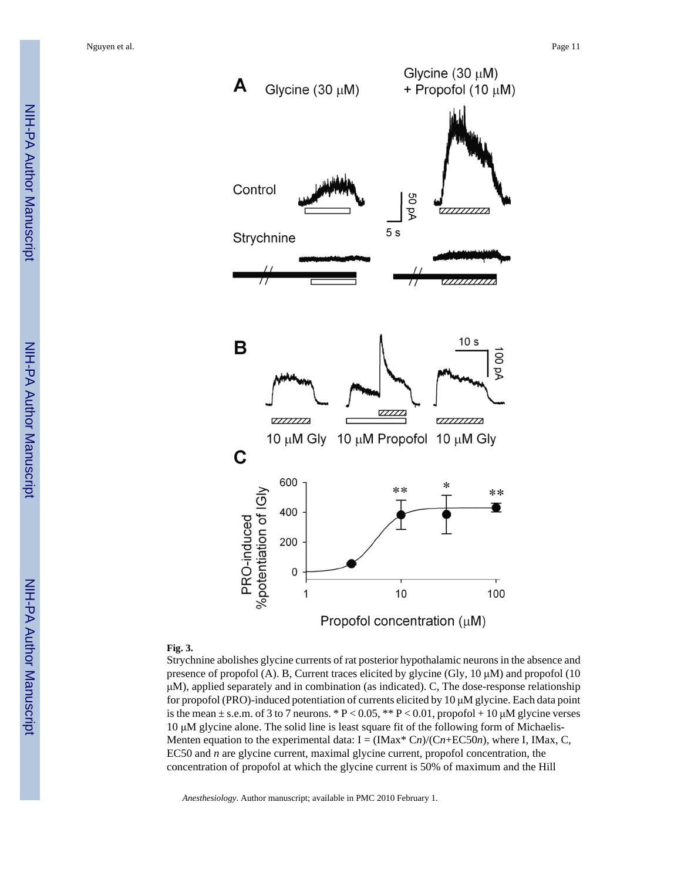

#### **Fig. 3.**

Strychnine abolishes glycine currents of rat posterior hypothalamic neurons in the absence and presence of propofol (A). B, Current traces elicited by glycine (Gly,  $10 \mu M$ ) and propofol (10 μM), applied separately and in combination (as indicated). C, The dose-response relationship for propofol (PRO)-induced potentiation of currents elicited by 10 μM glycine. Each data point is the mean  $\pm$  s.e.m. of 3 to 7 neurons. \* P < 0.05, \*\* P < 0.01, propofol + 10  $\mu$ M glycine verses 10 μM glycine alone. The solid line is least square fit of the following form of Michaelis-Menten equation to the experimental data:  $I = (IMax^* Cn)/(Cn+EC50n)$ , where I, IMax, C, EC50 and *n* are glycine current, maximal glycine current, propofol concentration, the concentration of propofol at which the glycine current is 50% of maximum and the Hill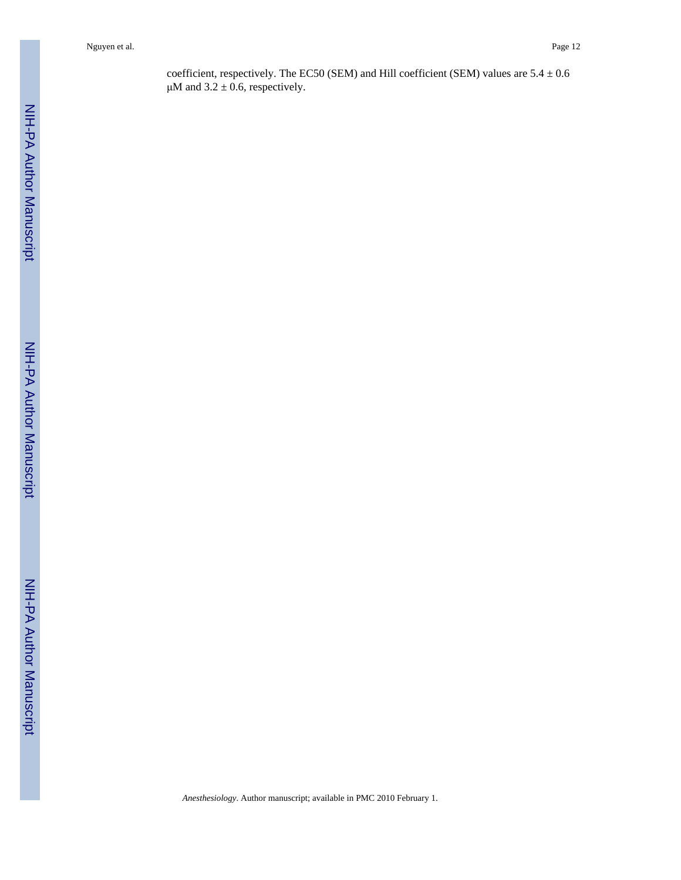Nguyen et al. Page 12

coefficient, respectively. The EC50 (SEM) and Hill coefficient (SEM) values are  $5.4 \pm 0.6$ μM and  $3.2 \pm 0.6$ , respectively.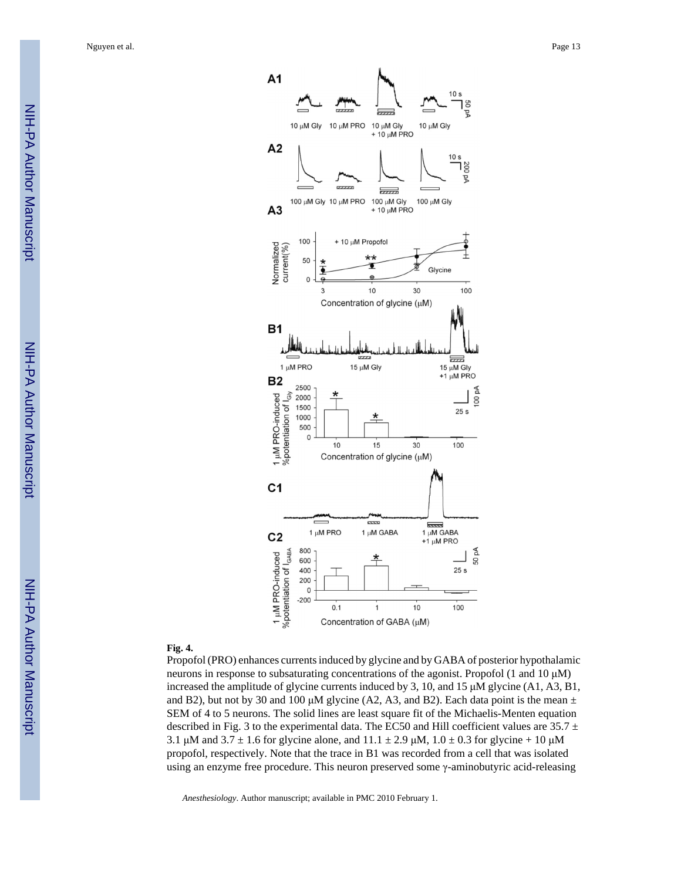

#### **Fig. 4.**

Propofol (PRO) enhances currents induced by glycine and by GABA of posterior hypothalamic neurons in response to subsaturating concentrations of the agonist. Propofol (1 and 10 μM) increased the amplitude of glycine currents induced by 3, 10, and 15 μM glycine (A1, A3, B1, and B2), but not by 30 and 100 μM glycine (A2, A3, and B2). Each data point is the mean  $\pm$ SEM of 4 to 5 neurons. The solid lines are least square fit of the Michaelis-Menten equation described in Fig. 3 to the experimental data. The EC50 and Hill coefficient values are  $35.7 \pm$ 3.1 μM and  $3.7 \pm 1.6$  for glycine alone, and  $11.1 \pm 2.9$  μM,  $1.0 \pm 0.3$  for glycine + 10 μM propofol, respectively. Note that the trace in B1 was recorded from a cell that was isolated using an enzyme free procedure. This neuron preserved some γ-aminobutyric acid-releasing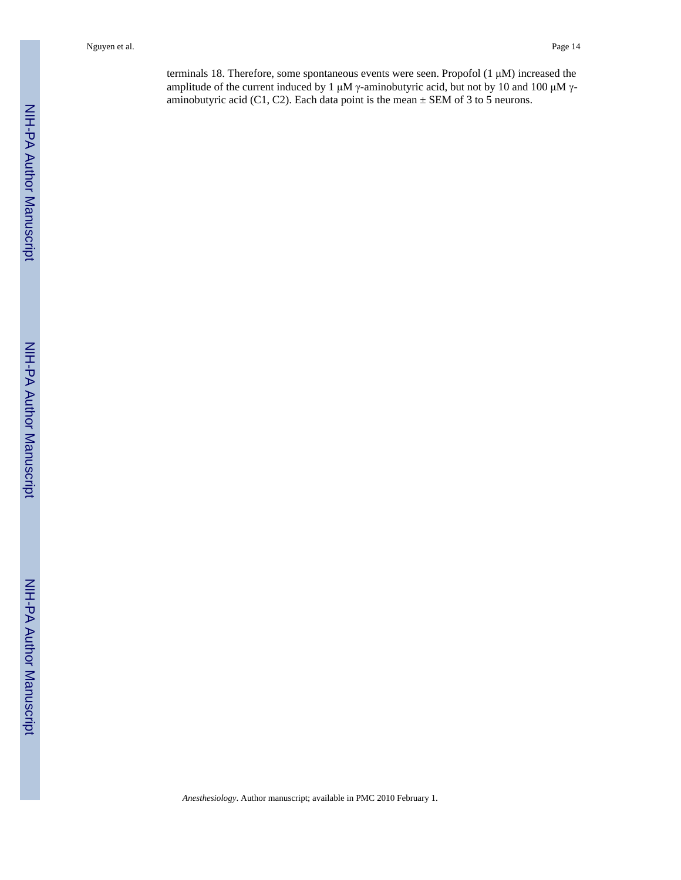Nguyen et al. Page 14

terminals 18. Therefore, some spontaneous events were seen. Propofol (1 μM) increased the amplitude of the current induced by 1 μM γ-aminobutyric acid, but not by 10 and 100 μM γaminobutyric acid (C1, C2). Each data point is the mean  $\pm$  SEM of 3 to 5 neurons.